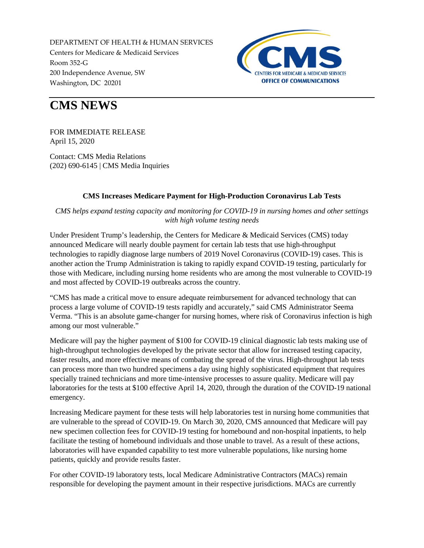DEPARTMENT OF HEALTH & HUMAN SERVICES Centers for Medicare & Medicaid Services Room 352-G 200 Independence Avenue, SW Washington, DC 20201



## **CMS NEWS**

FOR IMMEDIATE RELEASE April 15, 2020

Contact: CMS Media Relations (202) 690-6145 | [CMS Media Inquiries](http://go.cms.gov/media)

## **CMS Increases Medicare Payment for High-Production Coronavirus Lab Tests**

*CMS helps expand testing capacity and monitoring for COVID-19 in nursing homes and other settings with high volume testing needs*

Under President Trump's leadership, the Centers for Medicare & Medicaid Services (CMS) today announced Medicare will nearly double payment for certain lab tests that use high-throughput technologies to rapidly diagnose large numbers of 2019 Novel Coronavirus (COVID-19) cases. This is another action the Trump Administration is taking to rapidly expand COVID-19 testing, particularly for those with Medicare, including nursing home residents who are among the most vulnerable to COVID-19 and most affected by COVID-19 outbreaks across the country.

"CMS has made a critical move to ensure adequate reimbursement for advanced technology that can process a large volume of COVID-19 tests rapidly and accurately," said CMS Administrator Seema Verma. "This is an absolute game-changer for nursing homes, where risk of Coronavirus infection is high among our most vulnerable."

Medicare will pay the higher payment of \$100 for COVID-19 clinical diagnostic lab tests making use of high-throughput technologies developed by the private sector that allow for increased testing capacity, faster results, and more effective means of combating the spread of the virus. High-throughput lab tests can process more than two hundred specimens a day using highly sophisticated equipment that requires specially trained technicians and more time-intensive processes to assure quality. Medicare will pay laboratories for the tests at \$100 effective April 14, 2020, through the duration of the COVID-19 national emergency.

Increasing Medicare payment for these tests will help laboratories test in nursing home communities that are vulnerable to the spread of COVID-19. On March 30, 2020, CMS announced that Medicare will pay new specimen collection fees for COVID-19 testing for homebound and non-hospital inpatients, to help facilitate the testing of homebound individuals and those unable to travel. As a result of these actions, laboratories will have expanded capability to test more vulnerable populations, like nursing home patients, quickly and provide results faster.

For other COVID-19 laboratory tests, local Medicare Administrative Contractors (MACs) remain responsible for developing the payment amount in their respective jurisdictions. MACs are currently